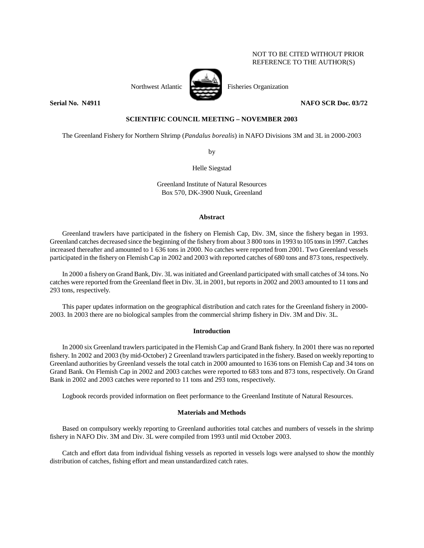# NOT TO BE CITED WITHOUT PRIOR REFERENCE TO THE AUTHOR(S)



# **Serial No. 14911** NAFO SCR Doc. 03/72

## **SCIENTIFIC COUNCIL MEETING – NOVEMBER 2003**

The Greenland Fishery for Northern Shrimp (*Pandalus borealis*) in NAFO Divisions 3M and 3L in 2000-2003

by

Helle Siegstad

Greenland Institute of Natural Resources Box 570, DK-3900 Nuuk, Greenland

### **Abstract**

Greenland trawlers have participated in the fishery on Flemish Cap, Div. 3M, since the fishery began in 1993. Greenland catches decreased since the beginning of the fishery from about 3 800 tons in 1993 to 105 tons in 1997. Catches increased thereafter and amounted to 1 636 tons in 2000. No catches were reported from 2001. Two Greenland vessels participated in the fishery on Flemish Cap in 2002 and 2003 with reported catches of 680 tons and 873 tons, respectively.

In 2000 a fishery on Grand Bank, Div. 3L was initiated and Greenland participated with small catches of 34 tons. No catches were reported from the Greenland fleet in Div. 3L in 2001, but reports in 2002 and 2003 amounted to 11 tons and 293 tons, respectively.

This paper updates information on the geographical distribution and catch rates for the Greenland fishery in 2000- 2003. In 2003 there are no biological samples from the commercial shrimp fishery in Div. 3M and Div. 3L.

## **Introduction**

In 2000 six Greenland trawlers participated in the Flemish Cap and Grand Bank fishery. In 2001 there was no reported fishery. In 2002 and 2003 (by mid-October) 2 Greenland trawlers participated in the fishery. Based on weekly reporting to Greenland authorities by Greenland vessels the total catch in 2000 amounted to 1636 tons on Flemish Cap and 34 tons on Grand Bank. On Flemish Cap in 2002 and 2003 catches were reported to 683 tons and 873 tons, respectively. On Grand Bank in 2002 and 2003 catches were reported to 11 tons and 293 tons, respectively.

Logbook records provided information on fleet performance to the Greenland Institute of Natural Resources.

### **Materials and Methods**

Based on compulsory weekly reporting to Greenland authorities total catches and numbers of vessels in the shrimp fishery in NAFO Div. 3M and Div. 3L were compiled from 1993 until mid October 2003.

Catch and effort data from individual fishing vessels as reported in vessels logs were analysed to show the monthly distribution of catches, fishing effort and mean unstandardized catch rates.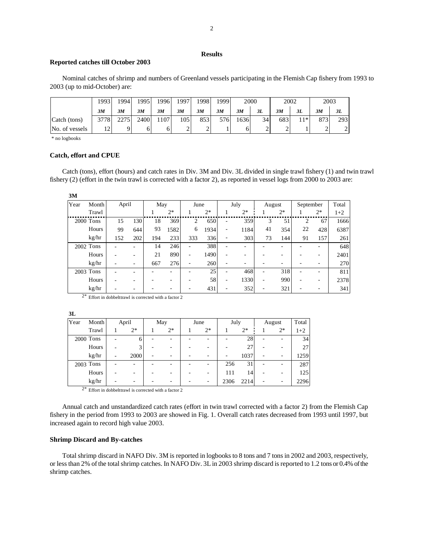## **Results**

### **Reported catches till October 2003**

 Nominal catches of shrimp and numbers of Greenland vessels participating in the Flemish Cap fishery from 1993 to 2003 (up to mid-October) are:

|                | 1993 | 1994 | 1995 | 1996 | 1997 | 1998 | 1999 | 2000 |    | 2002 |                       | 2003 |     |
|----------------|------|------|------|------|------|------|------|------|----|------|-----------------------|------|-----|
|                | 3M   | 3M   | 3M   | 3M   | 3M   | 3M   | 3M   | 3M   | 3L | 3M   | 3L                    | 3M   | 3L  |
| Catch (tons)   | 3778 | 2275 | 2400 | 107  | 105  | 853  | 576  | 1636 | 34 | 683  | $\lfloor 1^* \rfloor$ | 873  | 293 |
| No. of vessels |      |      |      |      | ∸    | ∸    |      | 0    | ∸  |      |                       |      |     |

\* no logbooks

# **Catch, effort and CPUE**

 Catch (tons), effort (hours) and catch rates in Div. 3M and Div. 3L divided in single trawl fishery (1) and twin trawl fishery (2) (effort in the twin trawl is corrected with a factor 2), as reported in vessel logs from 2000 to 2003 are:

| Year | Month       | April |     | May |      | June                     |      |                          | July | August                   |      | September |      | Total |
|------|-------------|-------|-----|-----|------|--------------------------|------|--------------------------|------|--------------------------|------|-----------|------|-------|
|      | Trawl       |       |     |     | $2*$ |                          | $2*$ |                          | $2*$ |                          | $2*$ |           | $2*$ | $1+2$ |
|      | $2000$ Tons | 15    | 130 | 18  | 369  | 2                        | 650  | ۰                        | 359  | 3                        | 51   | 2         | 67   | 1666  |
|      | Hours       | 99    | 644 | 93  | 1582 | 6                        | 1934 | $\overline{\phantom{a}}$ | 1184 | 41                       | 354  | 22        | 428  | 6387  |
|      | kg/hr       | 152   | 202 | 194 | 233  | 333                      | 336  | $\overline{\phantom{a}}$ | 303  | 73                       | 144  | 91        | 157  | 261   |
|      | 2002 Tons   |       |     | 14  | 246  | $\overline{\phantom{0}}$ | 388  |                          |      |                          |      |           |      | 648   |
|      | Hours       |       |     | 21  | 890  |                          | 1490 |                          |      |                          |      |           |      | 2401  |
|      | kg/hr       |       |     | 667 | 276  | $\overline{\phantom{a}}$ | 260  |                          |      |                          |      |           |      | 270   |
|      | 2003 Tons   |       |     |     |      |                          | 25   | $\overline{\phantom{0}}$ | 468  | $\overline{\phantom{0}}$ | 318  |           |      | 811   |
|      | Hours       |       |     |     |      |                          | 58   | ٠                        | 1330 | ۰                        | 990  |           |      | 2378  |
|      | kg/hr       |       |     |     |      |                          | 431  | ٠                        | 352  | -                        | 321  |           |      | 341   |

 $2*$  Effort in dobbelttrawl is corrected with a factor 2

**3L**

| Year | Month     |   | April | May  | June | July |      |   | August | Total |
|------|-----------|---|-------|------|------|------|------|---|--------|-------|
|      | Trawl     |   | $2*$  | $2*$ | $2*$ |      | $2*$ |   | $2^*$  | $1+2$ |
|      | 2000 Tons |   | 6     |      | -    |      | 28   | ٠ | -      | 34    |
|      | Hours     |   |       |      |      |      | 27   |   |        | 27    |
|      | kg/hr     | ۰ | 2000  |      | ٠    |      | 1037 | ۰ |        | 1259  |
|      | 2003 Tons |   |       |      |      | 256  | 31   |   |        | 287   |
|      | Hours     |   |       |      |      | 111  | 14   |   |        | 125   |
|      | kg/hr     |   |       |      |      | 2306 | 2214 |   |        | 2296  |

2\* Effort in dobbelttrawl is corrected with a factor 2

 Annual catch and unstandardized catch rates (effort in twin trawl corrected with a factor 2) from the Flemish Cap fishery in the period from 1993 to 2003 are showed in Fig. 1. Overall catch rates decreased from 1993 until 1997, but increased again to record high value 2003.

#### **Shrimp Discard and By-catches**

 Total shrimp discard in NAFO Div. 3M is reported in logbooks to 8 tons and 7 tons in 2002 and 2003, respectively, or less than 2% of the total shrimp catches. In NAFO Div. 3L in 2003 shrimp discard is reported to 1.2 tons or 0.4% of the shrimp catches.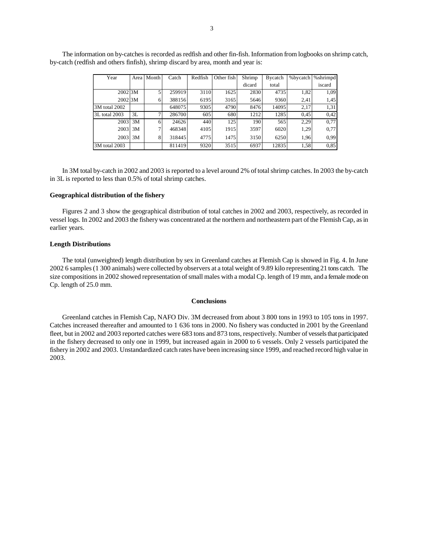| Year                 |    | Area   Month | Catch  | Redfish | Other fish | Shrimp | <b>B</b> ycatch | %bycatch | %shrimpd |
|----------------------|----|--------------|--------|---------|------------|--------|-----------------|----------|----------|
|                      |    |              |        |         |            | dicard | total           |          | iscard   |
| $2002$ <sub>3M</sub> |    | 5            | 259919 | 3110    | 1625       | 2830   | 4735            | 1,82     | 1,09     |
| $2002$ <sub>3M</sub> |    | 6            | 388156 | 6195    | 3165       | 5646   | 9360            | 2,41     | 1,45     |
| 3M total 2002        |    |              | 648075 | 9305    | 4790       | 8476   | 14095           | 2,17     | 1,31     |
| 3L total 2003        | 3L | 7            | 286700 | 605     | 680        | 1212   | 1285            | 0,45     | 0.42     |
| $2003$ 3M            |    | 6            | 24626  | 440     | 125        | 190    | 565             | 2,29     | 0,77     |
| 2003                 | 3M | 7            | 468348 | 4105    | 1915       | 3597   | 6020            | 1,29     | 0,77     |
| $2003$ 3M            |    | 8            | 318445 | 4775    | 1475       | 3150   | 6250            | 1.96     | 0.99     |
| 3M total 2003        |    |              | 811419 | 9320    | 3515       | 6937   | 12835           | 1,58     | 0.85     |

The information on by-catches is recorded as redfish and other fin-fish. Information from logbooks on shrimp catch, by-catch (redfish and others finfish), shrimp discard by area, month and year is:

In 3M total by-catch in 2002 and 2003 is reported to a level around 2% of total shrimp catches. In 2003 the by-catch in 3L is reported to less than 0.5% of total shrimp catches.

#### **Geographical distribution of the fishery**

Figures 2 and 3 show the geographical distribution of total catches in 2002 and 2003, respectively, as recorded in vessel logs. In 2002 and 2003 the fishery was concentrated at the northern and northeastern part of the Flemish Cap, as in earlier years.

#### **Length Distributions**

 The total (unweighted) length distribution by sex in Greenland catches at Flemish Cap is showed in Fig. 4. In June 2002 6 samples (1 300 animals) were collected by observers at a total weight of 9.89 kilo representing 21 tons catch. The size compositions in 2002 showed representation of small males with a modal Cp. length of 19 mm, and a female mode on Cp. length of 25.0 mm.

#### **Conclusions**

Greenland catches in Flemish Cap, NAFO Div. 3M decreased from about 3 800 tons in 1993 to 105 tons in 1997. Catches increased thereafter and amounted to 1 636 tons in 2000. No fishery was conducted in 2001 by the Greenland fleet, but in 2002 and 2003 reported catches were 683 tons and 873 tons, respectively. Number of vessels that participated in the fishery decreased to only one in 1999, but increased again in 2000 to 6 vessels. Only 2 vessels participated the fishery in 2002 and 2003. Unstandardized catch rates have been increasing since 1999, and reached record high value in 2003.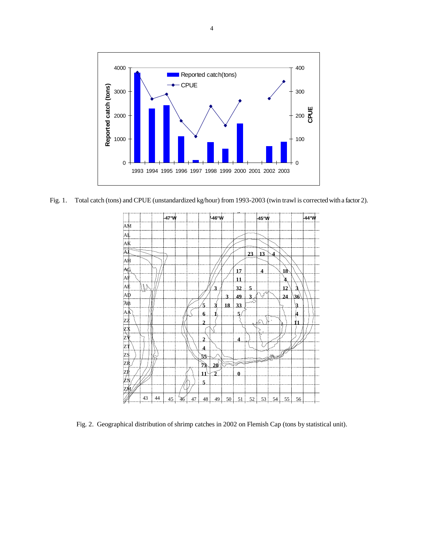

Fig. 1. Total catch (tons) and CPUE (unstandardized kg/hour) from 1993-2003 (twin trawl is corrected with a factor 2).



Fig. 2. Geographical distribution of shrimp catches in 2002 on Flemish Cap (tons by statistical unit).